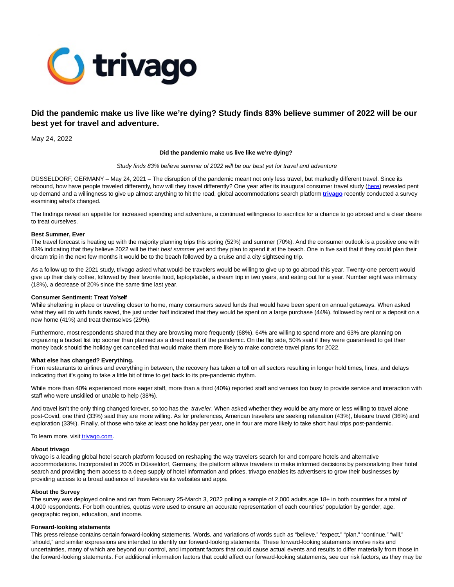

# **Did the pandemic make us live like we're dying? Study finds 83% believe summer of 2022 will be our best yet for travel and adventure.**

May 24, 2022

#### **Did the pandemic make us live like we're dying?**

#### Study finds 83% believe summer of 2022 will be our best yet for travel and adventure

DÜSSELDORF, GERMANY – May 24, 2021 – The disruption of the pandemic meant not only less travel, but markedly different travel. Since its rebound, how have people traveled differently, how will they travel differently? One year after its inaugural consumer travel study [\(here\)](https://www.globenewswire.com/Tracker?data=37ogFF9Oh3pOPFBSPwxtU8dORDWoC80DUaSoy1MKfyx8YbDEq5SSYAX9cu3NGyIn0V81eV_MIozCBOkT4T85fCNz5r6jLqr1oLSls_7fZ9L0IcsZrI_shW0Wa1zVE4vxcBNqf4_1Dd_TSnJXXuTBzt1tF58qkwQ2R_s7_OXPN6rQGqdD7kjTPOqnhn779qwpduMf67Y6j5EULI6dlI8rNw==) revealed pent up demand and a willingness to give up almost anything to hit the road, global accommodations search platform **[trivago](https://www.globenewswire.com/Tracker?data=M06Px8zNPPGDSKgv1MbpMa7o8UQcMignwZ2BM5vz11fSeVoQ5P5qmf5-iLiTd_iBQYAqS34opNuutdLmNdxsUg==)** recently conducted a survey examining what's changed.

The findings reveal an appetite for increased spending and adventure, a continued willingness to sacrifice for a chance to go abroad and a clear desire to treat ourselves.

#### **Best Summer, Ever**

The travel forecast is heating up with the majority planning trips this spring (52%) and summer (70%). And the consumer outlook is a positive one with 83% indicating that they believe 2022 will be their best summer yet and they plan to spend it at the beach. One in five said that if they could plan their dream trip in the next few months it would be to the beach followed by a cruise and a city sightseeing trip.

As a follow up to the 2021 study, trivago asked what would-be travelers would be willing to give up to go abroad this year. Twenty-one percent would give up their daily coffee, followed by their favorite food, laptop/tablet, a dream trip in two years, and eating out for a year. Number eight was intimacy (18%), a decrease of 20% since the same time last year.

### **Consumer Sentiment: Treat Yo'self**

While sheltering in place or traveling closer to home, many consumers saved funds that would have been spent on annual getaways. When asked what they will do with funds saved, the just under half indicated that they would be spent on a large purchase (44%), followed by rent or a deposit on a new home (41%) and treat themselves (29%).

Furthermore, most respondents shared that they are browsing more frequently (68%), 64% are willing to spend more and 63% are planning on organizing a bucket list trip sooner than planned as a direct result of the pandemic. On the flip side, 50% said if they were guaranteed to get their money back should the holiday get cancelled that would make them more likely to make concrete travel plans for 2022.

#### **What else has changed? Everything.**

From restaurants to airlines and everything in between, the recovery has taken a toll on all sectors resulting in longer hold times, lines, and delays indicating that it's going to take a little bit of time to get back to its pre-pandemic rhythm.

While more than 40% experienced more eager staff, more than a third (40%) reported staff and venues too busy to provide service and interaction with staff who were unskilled or unable to help (38%).

And travel isn't the only thing changed forever, so too has the traveler. When asked whether they would be any more or less willing to travel alone post-Covid, one third (33%) said they are more willing. As for preferences, American travelers are seeking relaxation (43%), bleisure travel (36%) and exploration (33%). Finally, of those who take at least one holiday per year, one in four are more likely to take short haul trips post-pandemic.

To learn more, visi[t trivago.com.](http://trivago.com/)

#### **About trivago**

trivago is a leading global hotel search platform focused on reshaping the way travelers search for and compare hotels and alternative accommodations. Incorporated in 2005 in Düsseldorf, Germany, the platform allows travelers to make informed decisions by personalizing their hotel search and providing them access to a deep supply of hotel information and prices. trivago enables its advertisers to grow their businesses by providing access to a broad audience of travelers via its websites and apps.

### **About the Survey**

The survey was deployed online and ran from February 25-March 3, 2022 polling a sample of 2,000 adults age 18+ in both countries for a total of 4,000 respondents. For both countries, quotas were used to ensure an accurate representation of each countries' population by gender, age, geographic region, education, and income.

#### **Forward-looking statements**

This press release contains certain forward-looking statements. Words, and variations of words such as "believe," "expect," "plan," "continue," "will," "should," and similar expressions are intended to identify our forward-looking statements. These forward-looking statements involve risks and uncertainties, many of which are beyond our control, and important factors that could cause actual events and results to differ materially from those in the forward-looking statements. For additional information factors that could affect our forward-looking statements, see our risk factors, as they may be